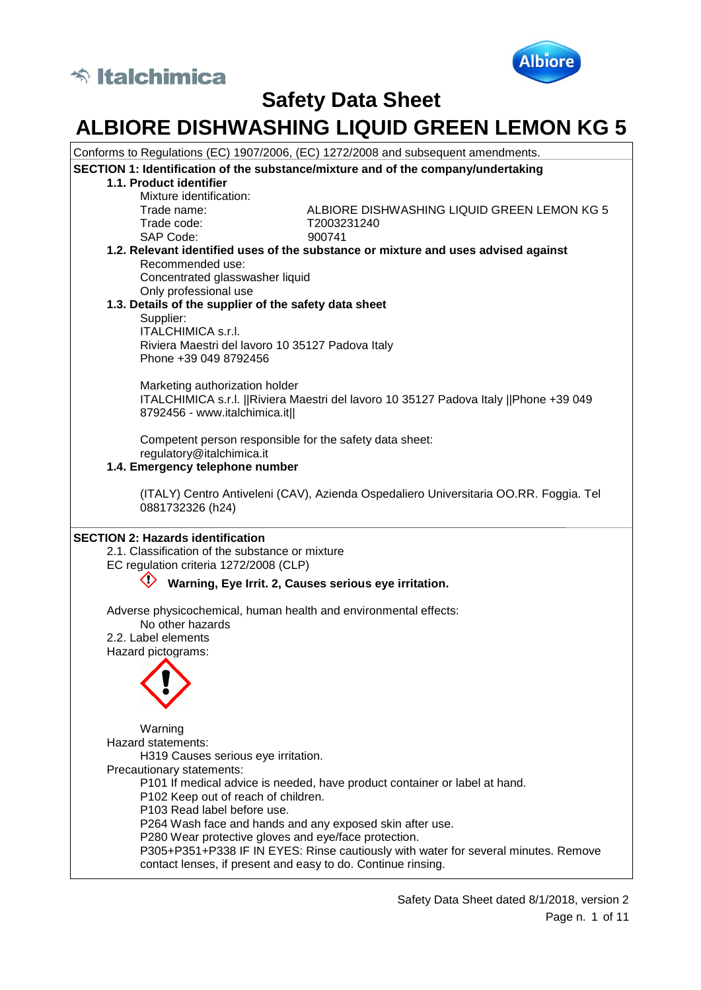



# **ALBIORE DISHWASHING LIQUID GREEN LEMON KG 5**

Conforms to Regulations (EC) 1907/2006, (EC) 1272/2008 and subsequent amendments. **SECTION 1: Identification of the substance/mixture and of the company/undertaking 1.1. Product identifier** Mixture identification: Trade name: ALBIORE DISHWASHING LIQUID GREEN LEMON KG 5 Trade code: T2003231240 SAP Code: 900741 **1.2. Relevant identified uses of the substance or mixture and uses advised against** Recommended use: Concentrated glasswasher liquid Only professional use **1.3. Details of the supplier of the safety data sheet** Supplier: ITALCHIMICA s.r.l. Riviera Maestri del lavoro 10 35127 Padova Italy Phone +39 049 8792456 Marketing authorization holder ITALCHIMICA s.r.l. ||Riviera Maestri del lavoro 10 35127 Padova Italy ||Phone +39 049 8792456 - www.italchimica.it|| Competent person responsible for the safety data sheet: regulatory@italchimica.it **1.4. Emergency telephone number** (ITALY) Centro Antiveleni (CAV), Azienda Ospedaliero Universitaria OO.RR. Foggia. Tel 0881732326 (h24) **SECTION 2: Hazards identification** 2.1. Classification of the substance or mixture EC regulation criteria 1272/2008 (CLP)  **Warning, Eye Irrit. 2, Causes serious eye irritation.** Adverse physicochemical, human health and environmental effects: No other hazards 2.2. Label elements Hazard pictograms: Warning Hazard statements: H319 Causes serious eye irritation. Precautionary statements: P101 If medical advice is needed, have product container or label at hand. P102 Keep out of reach of children. P103 Read label before use. P264 Wash face and hands and any exposed skin after use. P280 Wear protective gloves and eye/face protection. P305+P351+P338 IF IN EYES: Rinse cautiously with water for several minutes. Remove contact lenses, if present and easy to do. Continue rinsing.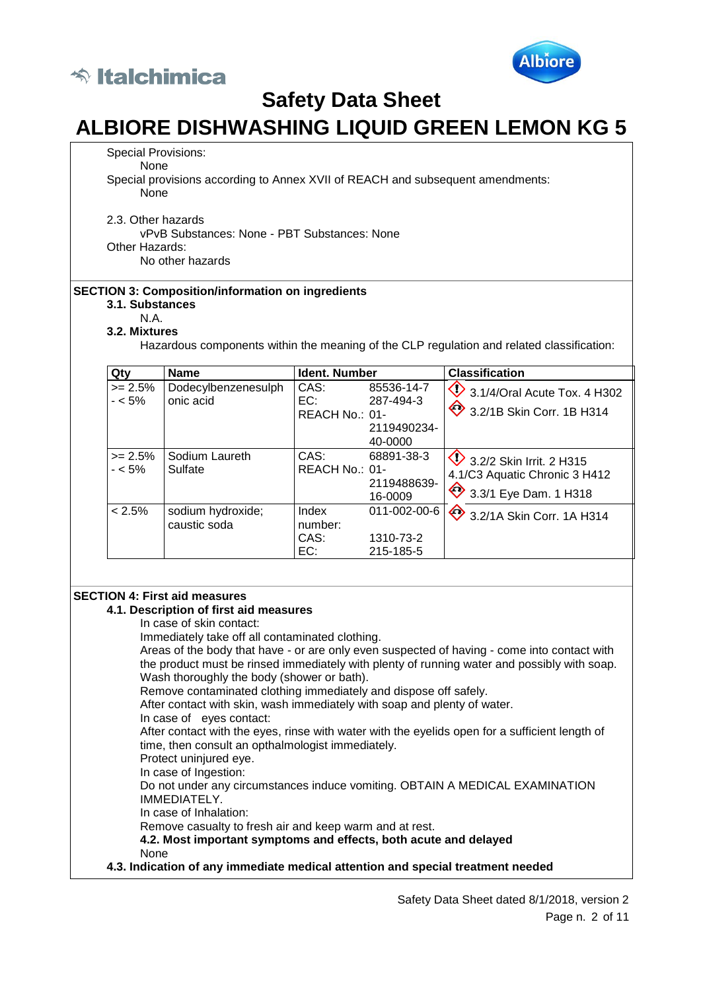



**ALBIORE DISHWASHING LIQUID GREEN LEMON KG 5**

#### Special Provisions: None Special provisions according to Annex XVII of REACH and subsequent amendments: None 2.3. Other hazards vPvB Substances: None - PBT Substances: None Other Hazards: No other hazards **SECTION 3: Composition/information on ingredients 3.1. Substances** N.A. **3.2. Mixtures** Hazardous components within the meaning of the CLP regulation and related classification: **Qty Name Ident. Number Classification**  $>= 2.5%$  $- < 5\%$ Dodecylbenzenesulph onic acid CAS: 85536-14-7 EC: 287-494-3 REACH No.: 01- 2119490234- 40-0000  $\bigcirc$  3.1/4/Oral Acute Tox. 4 H302  $\bigotimes$  3.2/1B Skin Corr. 1B H314  $>= 2.5%$  $- < 5\%$ Sodium Laureth Sulfate CAS: 68891-38-3 REACH No.: 01- 2119488639- 16-0009  $\bigcirc$  3.2/2 Skin Irrit. 2 H315 4.1/C3 Aquatic Chronic 3 H412  $\bigotimes$  3.3/1 Eye Dam. 1 H318 < 2.5% sodium hydroxide; caustic soda Index number: 011-002-00-6 CAS: 1310-73-2 EC: 215-185-5  $\bigotimes$  3.2/1A Skin Corr. 1A H314 **SECTION 4: First aid measures 4.1. Description of first aid measures** In case of skin contact: Immediately take off all contaminated clothing. Areas of the body that have - or are only even suspected of having - come into contact with the product must be rinsed immediately with plenty of running water and possibly with soap. Wash thoroughly the body (shower or bath).

Remove contaminated clothing immediately and dispose off safely.

After contact with skin, wash immediately with soap and plenty of water.

In case of eyes contact:

After contact with the eyes, rinse with water with the eyelids open for a sufficient length of time, then consult an opthalmologist immediately.

Protect uninjured eye.

In case of Ingestion:

Do not under any circumstances induce vomiting. OBTAIN A MEDICAL EXAMINATION IMMEDIATELY.

In case of Inhalation:

Remove casualty to fresh air and keep warm and at rest.

**4.2. Most important symptoms and effects, both acute and delayed** None

**4.3. Indication of any immediate medical attention and special treatment needed**

Safety Data Sheet dated 8/1/2018, version 2 Page n. 2 of 11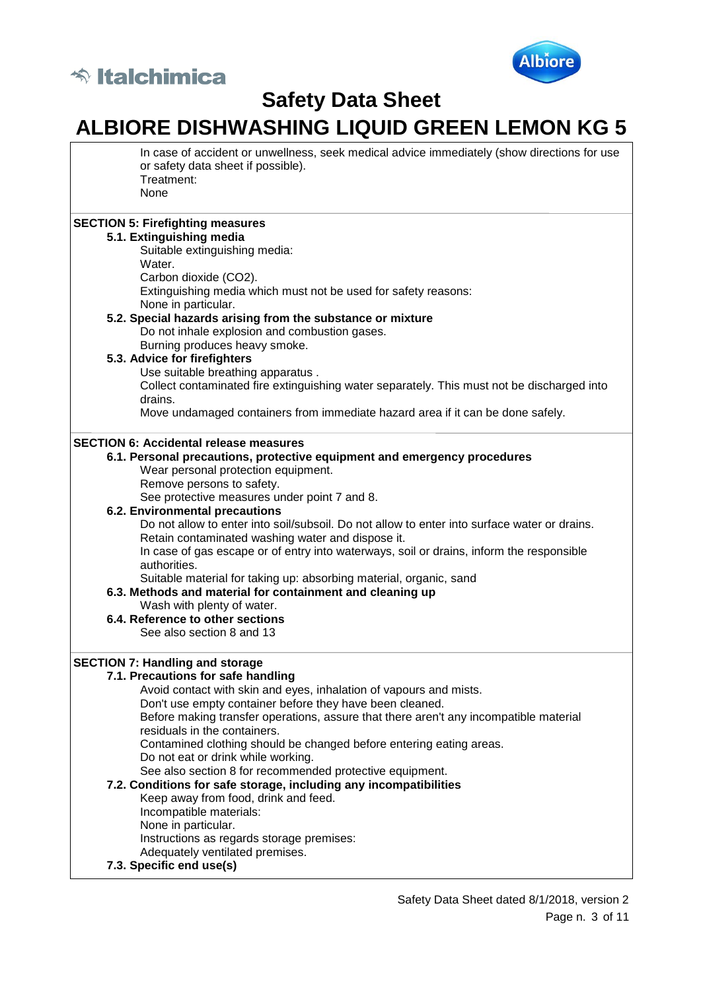



# **ALBIORE DISHWASHING LIQUID GREEN LEMON KG 5**

In case of accident or unwellness, seek medical advice immediately (show directions for use or safety data sheet if possible). Treatment: None

#### **SECTION 5: Firefighting measures**

### **5.1. Extinguishing media**

- Suitable extinguishing media:
	- Water.
	- Carbon dioxide (CO2).
	- Extinguishing media which must not be used for safety reasons: None in particular.

### **5.2. Special hazards arising from the substance or mixture**

Do not inhale explosion and combustion gases. Burning produces heavy smoke.

#### **5.3. Advice for firefighters**

Use suitable breathing apparatus .

Collect contaminated fire extinguishing water separately. This must not be discharged into drains.

Move undamaged containers from immediate hazard area if it can be done safely.

#### **SECTION 6: Accidental release measures**

#### **6.1. Personal precautions, protective equipment and emergency procedures** Wear personal protection equipment.

Remove persons to safety.

See protective measures under point 7 and 8.

#### **6.2. Environmental precautions**

Do not allow to enter into soil/subsoil. Do not allow to enter into surface water or drains. Retain contaminated washing water and dispose it.

In case of gas escape or of entry into waterways, soil or drains, inform the responsible authorities.

Suitable material for taking up: absorbing material, organic, sand

### **6.3. Methods and material for containment and cleaning up**

Wash with plenty of water.

### **6.4. Reference to other sections**

See also section 8 and 13

#### **SECTION 7: Handling and storage**

#### **7.1. Precautions for safe handling**

Avoid contact with skin and eyes, inhalation of vapours and mists.

Don't use empty container before they have been cleaned.

Before making transfer operations, assure that there aren't any incompatible material residuals in the containers.

Contamined clothing should be changed before entering eating areas.

Do not eat or drink while working.

See also section 8 for recommended protective equipment.

### **7.2. Conditions for safe storage, including any incompatibilities**

Keep away from food, drink and feed. Incompatible materials: None in particular.

Instructions as regards storage premises:

Adequately ventilated premises.

**7.3. Specific end use(s)**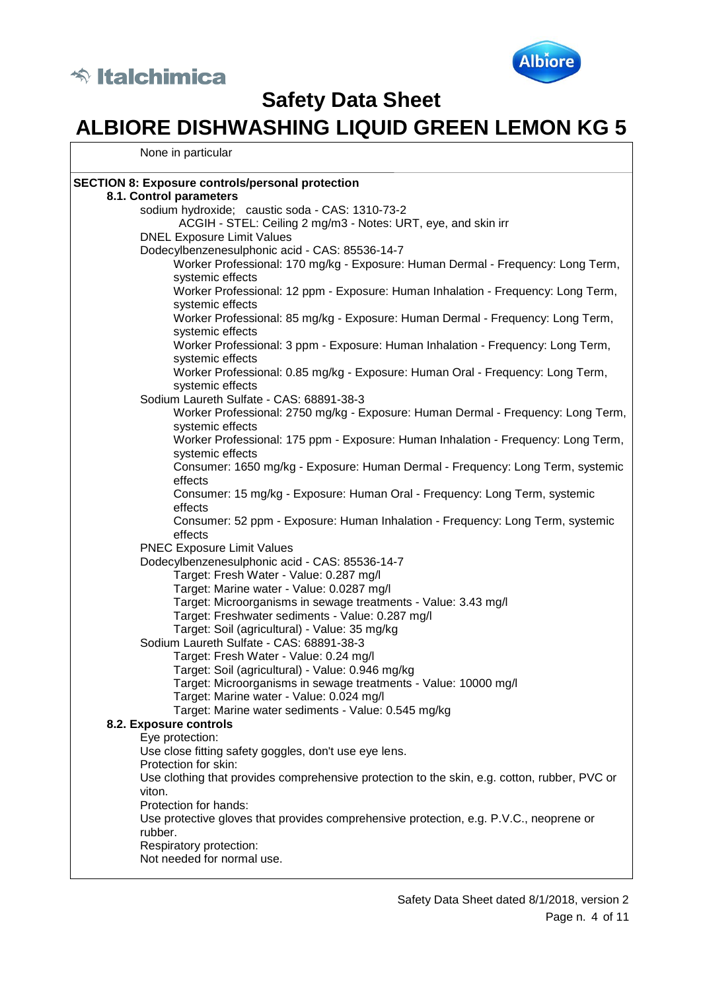



### **ALBIORE DISHWASHING LIQUID GREEN LEMON KG 5**

### None in particular

| <b>SECTION 8: Exposure controls/personal protection</b>                                            |
|----------------------------------------------------------------------------------------------------|
| 8.1. Control parameters                                                                            |
| sodium hydroxide; caustic soda - CAS: 1310-73-2                                                    |
| ACGIH - STEL: Ceiling 2 mg/m3 - Notes: URT, eye, and skin irr                                      |
| <b>DNEL Exposure Limit Values</b>                                                                  |
| Dodecylbenzenesulphonic acid - CAS: 85536-14-7                                                     |
| Worker Professional: 170 mg/kg - Exposure: Human Dermal - Frequency: Long Term,                    |
| systemic effects                                                                                   |
| Worker Professional: 12 ppm - Exposure: Human Inhalation - Frequency: Long Term,                   |
| systemic effects                                                                                   |
| Worker Professional: 85 mg/kg - Exposure: Human Dermal - Frequency: Long Term,<br>systemic effects |
| Worker Professional: 3 ppm - Exposure: Human Inhalation - Frequency: Long Term,                    |
| systemic effects                                                                                   |
| Worker Professional: 0.85 mg/kg - Exposure: Human Oral - Frequency: Long Term,                     |
| systemic effects                                                                                   |
| Sodium Laureth Sulfate - CAS: 68891-38-3                                                           |
| Worker Professional: 2750 mg/kg - Exposure: Human Dermal - Frequency: Long Term,                   |
| systemic effects                                                                                   |
| Worker Professional: 175 ppm - Exposure: Human Inhalation - Frequency: Long Term,                  |
| systemic effects                                                                                   |
| Consumer: 1650 mg/kg - Exposure: Human Dermal - Frequency: Long Term, systemic                     |
| effects                                                                                            |
| Consumer: 15 mg/kg - Exposure: Human Oral - Frequency: Long Term, systemic<br>effects              |
| Consumer: 52 ppm - Exposure: Human Inhalation - Frequency: Long Term, systemic                     |
| effects                                                                                            |
| <b>PNEC Exposure Limit Values</b>                                                                  |
| Dodecylbenzenesulphonic acid - CAS: 85536-14-7                                                     |
| Target: Fresh Water - Value: 0.287 mg/l                                                            |
| Target: Marine water - Value: 0.0287 mg/l                                                          |
| Target: Microorganisms in sewage treatments - Value: 3.43 mg/l                                     |
| Target: Freshwater sediments - Value: 0.287 mg/l                                                   |
| Target: Soil (agricultural) - Value: 35 mg/kg                                                      |
| Sodium Laureth Sulfate - CAS: 68891-38-3                                                           |
| Target: Fresh Water - Value: 0.24 mg/l                                                             |
| Target: Soil (agricultural) - Value: 0.946 mg/kg                                                   |
| Target: Microorganisms in sewage treatments - Value: 10000 mg/l                                    |
| Target: Marine water - Value: 0.024 mg/l                                                           |
| Target: Marine water sediments - Value: 0.545 mg/kg                                                |
| 8.2. Exposure controls                                                                             |
| Eye protection:                                                                                    |
| Use close fitting safety goggles, don't use eye lens.                                              |
| Protection for skin:                                                                               |
| Use clothing that provides comprehensive protection to the skin, e.g. cotton, rubber, PVC or       |
| viton.<br>Protection for hands:                                                                    |
| Use protective gloves that provides comprehensive protection, e.g. P.V.C., neoprene or             |
| rubber.                                                                                            |
| Respiratory protection:                                                                            |
| Not needed for normal use.                                                                         |
|                                                                                                    |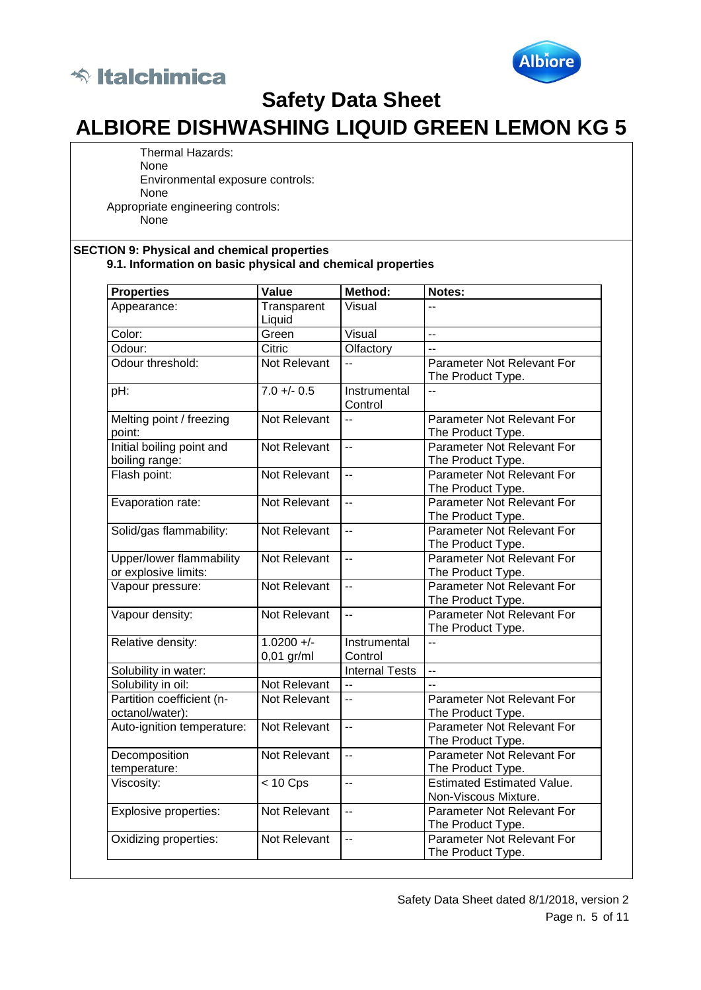



**ALBIORE DISHWASHING LIQUID GREEN LEMON KG 5**

Thermal Hazards: None Environmental exposure controls: None Appropriate engineering controls: None

#### **SECTION 9: Physical and chemical properties 9.1. Information on basic physical and chemical properties**

| <b>Properties</b>                                       | Value                        | Method:                  | Notes:                                                    |
|---------------------------------------------------------|------------------------------|--------------------------|-----------------------------------------------------------|
| Appearance:                                             | Transparent<br>Liquid        | Visual                   |                                                           |
| Color:                                                  | Green                        | Visual                   | Ξ.                                                        |
| Odour:                                                  | Citric                       | Olfactory                | $\overline{a}$                                            |
| Odour threshold:                                        | Not Relevant                 | $\sim$                   | Parameter Not Relevant For<br>The Product Type.           |
| pH:                                                     | $7.0 + 0.5$                  | Instrumental<br>Control  | Ξ.                                                        |
| Melting point / freezing<br>point:                      | Not Relevant                 | $\sim$                   | Parameter Not Relevant For<br>The Product Type.           |
| Initial boiling point and<br>boiling range:             | Not Relevant                 | $\ddot{\phantom{a}}$     | Parameter Not Relevant For<br>The Product Type.           |
| Flash point:                                            | <b>Not Relevant</b>          | $\sim$                   | Parameter Not Relevant For<br>The Product Type.           |
| Evaporation rate:                                       | Not Relevant                 | $\ddotsc$                | Parameter Not Relevant For<br>The Product Type.           |
| Solid/gas flammability:                                 | Not Relevant                 | L.                       | Parameter Not Relevant For<br>The Product Type.           |
| <b>Upper/lower flammability</b><br>or explosive limits: | Not Relevant                 | $\ddot{\phantom{a}}$     | Parameter Not Relevant For<br>The Product Type.           |
| Vapour pressure:                                        | Not Relevant                 | $\overline{a}$           | Parameter Not Relevant For<br>The Product Type.           |
| Vapour density:                                         | Not Relevant                 | $\overline{a}$           | Parameter Not Relevant For<br>The Product Type.           |
| Relative density:                                       | $1.0200 +/-$<br>$0,01$ gr/ml | Instrumental<br>Control  | L.                                                        |
| Solubility in water:                                    |                              | <b>Internal Tests</b>    | $\overline{a}$                                            |
| Solubility in oil:                                      | Not Relevant                 | $\ddot{\phantom{a}}$     | $\overline{a}$                                            |
| Partition coefficient (n-<br>octanol/water):            | Not Relevant                 | $\overline{\phantom{a}}$ | Parameter Not Relevant For<br>The Product Type.           |
| Auto-ignition temperature:                              | Not Relevant                 | $\overline{a}$           | Parameter Not Relevant For<br>The Product Type.           |
| Decomposition<br>temperature:                           | Not Relevant                 | $\ddot{\phantom{a}}$     | Parameter Not Relevant For<br>The Product Type.           |
| Viscosity:                                              | $< 10$ Cps                   | $\ddot{\phantom{a}}$     | <b>Estimated Estimated Value.</b><br>Non-Viscous Mixture. |
| Explosive properties:                                   | Not Relevant                 | $\overline{a}$           | Parameter Not Relevant For<br>The Product Type.           |
| Oxidizing properties:                                   | Not Relevant                 | $\ddot{\phantom{a}}$     | Parameter Not Relevant For<br>The Product Type.           |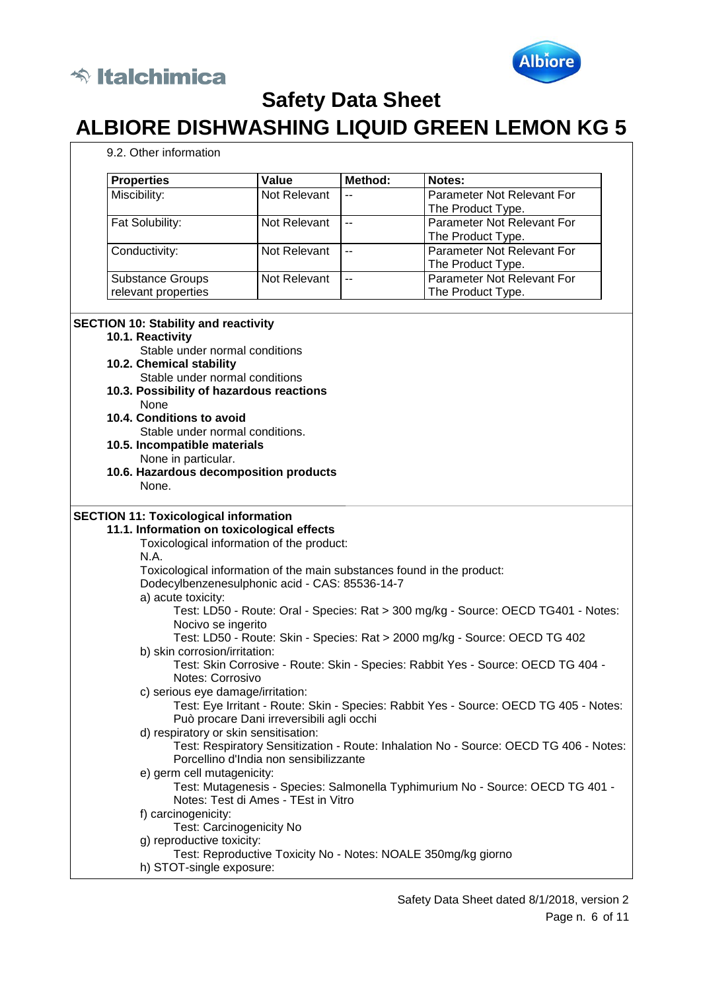



| <b>Properties</b>                                                      | Value                                     | Method:                  | Notes:                                                                                                                                                                                                                                                                                                                            |
|------------------------------------------------------------------------|-------------------------------------------|--------------------------|-----------------------------------------------------------------------------------------------------------------------------------------------------------------------------------------------------------------------------------------------------------------------------------------------------------------------------------|
| Miscibility:                                                           | Not Relevant                              | $\overline{\phantom{a}}$ | Parameter Not Relevant For                                                                                                                                                                                                                                                                                                        |
|                                                                        |                                           |                          | The Product Type.                                                                                                                                                                                                                                                                                                                 |
| Fat Solubility:                                                        | Not Relevant                              | $\overline{\phantom{a}}$ | Parameter Not Relevant For                                                                                                                                                                                                                                                                                                        |
|                                                                        |                                           |                          | The Product Type.                                                                                                                                                                                                                                                                                                                 |
| Conductivity:                                                          | Not Relevant                              | --                       | Parameter Not Relevant For                                                                                                                                                                                                                                                                                                        |
|                                                                        |                                           |                          | The Product Type.                                                                                                                                                                                                                                                                                                                 |
| <b>Substance Groups</b>                                                | Not Relevant                              | $\overline{\phantom{a}}$ | Parameter Not Relevant For                                                                                                                                                                                                                                                                                                        |
| relevant properties                                                    |                                           |                          | The Product Type.                                                                                                                                                                                                                                                                                                                 |
| <b>SECTION 10: Stability and reactivity</b>                            |                                           |                          |                                                                                                                                                                                                                                                                                                                                   |
| 10.1. Reactivity                                                       |                                           |                          |                                                                                                                                                                                                                                                                                                                                   |
| Stable under normal conditions                                         |                                           |                          |                                                                                                                                                                                                                                                                                                                                   |
| 10.2. Chemical stability                                               |                                           |                          |                                                                                                                                                                                                                                                                                                                                   |
| Stable under normal conditions                                         |                                           |                          |                                                                                                                                                                                                                                                                                                                                   |
| 10.3. Possibility of hazardous reactions                               |                                           |                          |                                                                                                                                                                                                                                                                                                                                   |
| None                                                                   |                                           |                          |                                                                                                                                                                                                                                                                                                                                   |
| 10.4. Conditions to avoid                                              |                                           |                          |                                                                                                                                                                                                                                                                                                                                   |
| Stable under normal conditions.                                        |                                           |                          |                                                                                                                                                                                                                                                                                                                                   |
| 10.5. Incompatible materials                                           |                                           |                          |                                                                                                                                                                                                                                                                                                                                   |
| None in particular.                                                    |                                           |                          |                                                                                                                                                                                                                                                                                                                                   |
| 10.6. Hazardous decomposition products                                 |                                           |                          |                                                                                                                                                                                                                                                                                                                                   |
| None.                                                                  |                                           |                          |                                                                                                                                                                                                                                                                                                                                   |
| <b>SECTION 11: Toxicological information</b>                           |                                           |                          |                                                                                                                                                                                                                                                                                                                                   |
| 11.1. Information on toxicological effects                             |                                           |                          |                                                                                                                                                                                                                                                                                                                                   |
| Toxicological information of the product:                              |                                           |                          |                                                                                                                                                                                                                                                                                                                                   |
| N.A.                                                                   |                                           |                          |                                                                                                                                                                                                                                                                                                                                   |
| Toxicological information of the main substances found in the product: |                                           |                          |                                                                                                                                                                                                                                                                                                                                   |
| Dodecylbenzenesulphonic acid - CAS: 85536-14-7                         |                                           |                          |                                                                                                                                                                                                                                                                                                                                   |
| a) acute toxicity:                                                     |                                           |                          |                                                                                                                                                                                                                                                                                                                                   |
|                                                                        |                                           |                          | Test: LD50 - Route: Oral - Species: Rat > 300 mg/kg - Source: OECD TG401 - Notes:                                                                                                                                                                                                                                                 |
| Nocivo se ingerito                                                     |                                           |                          |                                                                                                                                                                                                                                                                                                                                   |
|                                                                        |                                           |                          | Test: LD50 - Route: Skin - Species: Rat > 2000 mg/kg - Source: OECD TG 402                                                                                                                                                                                                                                                        |
| b) skin corrosion/irritation:                                          |                                           |                          |                                                                                                                                                                                                                                                                                                                                   |
|                                                                        |                                           |                          | Test: Skin Corrosive - Route: Skin - Species: Rabbit Yes - Source: OECD TG 404 -                                                                                                                                                                                                                                                  |
|                                                                        |                                           |                          |                                                                                                                                                                                                                                                                                                                                   |
| Notes: Corrosivo                                                       |                                           |                          |                                                                                                                                                                                                                                                                                                                                   |
| c) serious eye damage/irritation:                                      |                                           |                          |                                                                                                                                                                                                                                                                                                                                   |
|                                                                        |                                           |                          |                                                                                                                                                                                                                                                                                                                                   |
|                                                                        | Può procare Dani irreversibili agli occhi |                          |                                                                                                                                                                                                                                                                                                                                   |
| d) respiratory or skin sensitisation:                                  |                                           |                          |                                                                                                                                                                                                                                                                                                                                   |
|                                                                        |                                           |                          |                                                                                                                                                                                                                                                                                                                                   |
|                                                                        | Porcellino d'India non sensibilizzante    |                          |                                                                                                                                                                                                                                                                                                                                   |
| e) germ cell mutagenicity:                                             |                                           |                          |                                                                                                                                                                                                                                                                                                                                   |
|                                                                        |                                           |                          |                                                                                                                                                                                                                                                                                                                                   |
|                                                                        | Notes: Test di Ames - TEst in Vitro       |                          |                                                                                                                                                                                                                                                                                                                                   |
| f) carcinogenicity:                                                    |                                           |                          |                                                                                                                                                                                                                                                                                                                                   |
| Test: Carcinogenicity No                                               |                                           |                          |                                                                                                                                                                                                                                                                                                                                   |
| g) reproductive toxicity:                                              |                                           |                          |                                                                                                                                                                                                                                                                                                                                   |
| h) STOT-single exposure:                                               |                                           |                          | Test: Eye Irritant - Route: Skin - Species: Rabbit Yes - Source: OECD TG 405 - Notes:<br>Test: Respiratory Sensitization - Route: Inhalation No - Source: OECD TG 406 - Notes:<br>Test: Mutagenesis - Species: Salmonella Typhimurium No - Source: OECD TG 401 -<br>Test: Reproductive Toxicity No - Notes: NOALE 350mg/kg giorno |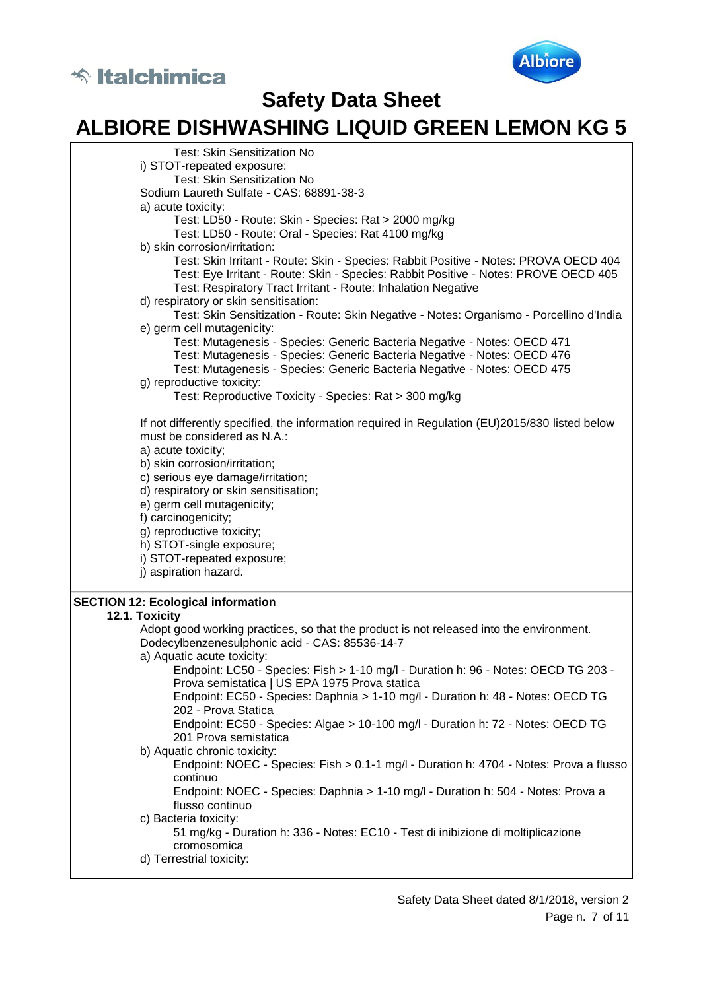



| Test: Skin Sensitization No                                                                                                                                                                                                                                   |
|---------------------------------------------------------------------------------------------------------------------------------------------------------------------------------------------------------------------------------------------------------------|
| i) STOT-repeated exposure:                                                                                                                                                                                                                                    |
| Test: Skin Sensitization No                                                                                                                                                                                                                                   |
| Sodium Laureth Sulfate - CAS: 68891-38-3                                                                                                                                                                                                                      |
| a) acute toxicity:                                                                                                                                                                                                                                            |
| Test: LD50 - Route: Skin - Species: Rat > 2000 mg/kg                                                                                                                                                                                                          |
| Test: LD50 - Route: Oral - Species: Rat 4100 mg/kg                                                                                                                                                                                                            |
| b) skin corrosion/irritation:                                                                                                                                                                                                                                 |
| Test: Skin Irritant - Route: Skin - Species: Rabbit Positive - Notes: PROVA OECD 404<br>Test: Eye Irritant - Route: Skin - Species: Rabbit Positive - Notes: PROVE OECD 405<br>Test: Respiratory Tract Irritant - Route: Inhalation Negative                  |
| d) respiratory or skin sensitisation:<br>Test: Skin Sensitization - Route: Skin Negative - Notes: Organismo - Porcellino d'India                                                                                                                              |
| e) germ cell mutagenicity:                                                                                                                                                                                                                                    |
| Test: Mutagenesis - Species: Generic Bacteria Negative - Notes: OECD 471<br>Test: Mutagenesis - Species: Generic Bacteria Negative - Notes: OECD 476<br>Test: Mutagenesis - Species: Generic Bacteria Negative - Notes: OECD 475<br>g) reproductive toxicity: |
| Test: Reproductive Toxicity - Species: Rat > 300 mg/kg                                                                                                                                                                                                        |
| If not differently specified, the information required in Regulation (EU)2015/830 listed below<br>must be considered as N.A.:                                                                                                                                 |
| a) acute toxicity;                                                                                                                                                                                                                                            |
| b) skin corrosion/irritation;                                                                                                                                                                                                                                 |
| c) serious eye damage/irritation;                                                                                                                                                                                                                             |
| d) respiratory or skin sensitisation;                                                                                                                                                                                                                         |
| e) germ cell mutagenicity;                                                                                                                                                                                                                                    |
| f) carcinogenicity;                                                                                                                                                                                                                                           |
| g) reproductive toxicity;                                                                                                                                                                                                                                     |
| h) STOT-single exposure;                                                                                                                                                                                                                                      |
| i) STOT-repeated exposure;                                                                                                                                                                                                                                    |
| j) aspiration hazard.                                                                                                                                                                                                                                         |
|                                                                                                                                                                                                                                                               |
| <b>SECTION 12: Ecological information</b>                                                                                                                                                                                                                     |
| 12.1. Toxicity                                                                                                                                                                                                                                                |
| Adopt good working practices, so that the product is not released into the environment.<br>Dodecylbenzenesulphonic acid - CAS: 85536-14-7<br>a) Aquatic acute toxicity:                                                                                       |
| Endpoint: LC50 - Species: Fish > 1-10 mg/l - Duration h: 96 - Notes: OECD TG 203 -<br>Prova semistatica   US EPA 1975 Prova statica                                                                                                                           |
| Endpoint: EC50 - Species: Daphnia > 1-10 mg/l - Duration h: 48 - Notes: OECD TG<br>202 - Prova Statica                                                                                                                                                        |
| Endpoint: EC50 - Species: Algae > 10-100 mg/l - Duration h: 72 - Notes: OECD TG<br>201 Prova semistatica                                                                                                                                                      |
| b) Aquatic chronic toxicity:                                                                                                                                                                                                                                  |
| Endpoint: NOEC - Species: Fish > 0.1-1 mg/l - Duration h: 4704 - Notes: Prova a flusso<br>continuo                                                                                                                                                            |
| Endpoint: NOEC - Species: Daphnia > 1-10 mg/l - Duration h: 504 - Notes: Prova a<br>flusso continuo                                                                                                                                                           |
| c) Bacteria toxicity:                                                                                                                                                                                                                                         |
| 51 mg/kg - Duration h: 336 - Notes: EC10 - Test di inibizione di moltiplicazione<br>cromosomica                                                                                                                                                               |
| d) Terrestrial toxicity:                                                                                                                                                                                                                                      |
|                                                                                                                                                                                                                                                               |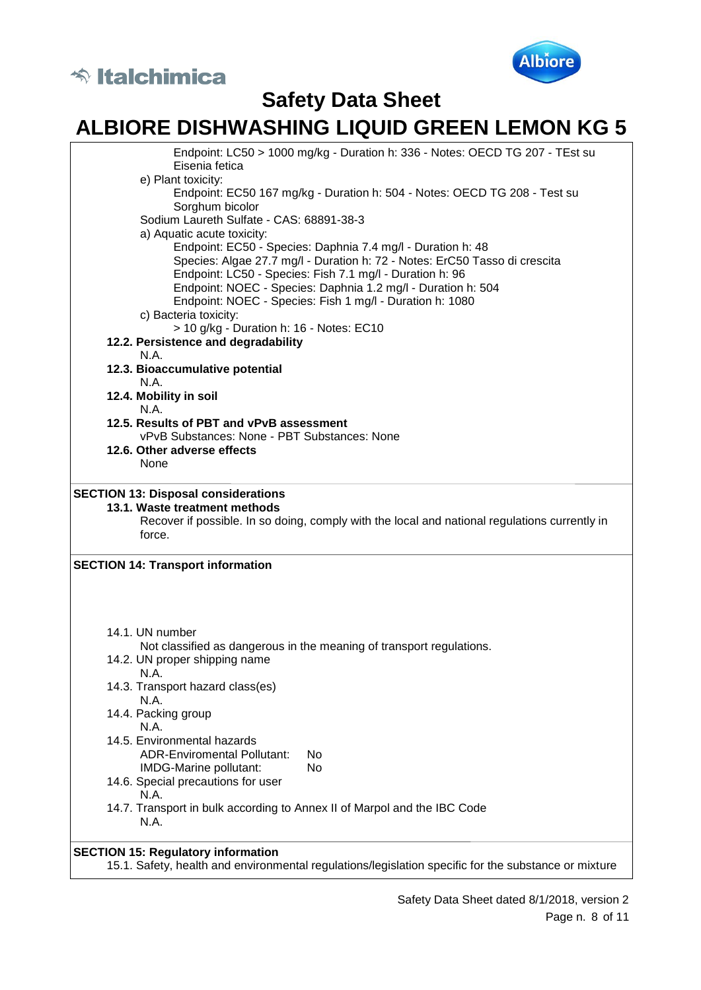



## **ALBIORE DISHWASHING LIQUID GREEN LEMON KG 5**

| Endpoint: LC50 > 1000 mg/kg - Duration h: 336 - Notes: OECD TG 207 - TEst su                                                             |
|------------------------------------------------------------------------------------------------------------------------------------------|
| Eisenia fetica                                                                                                                           |
| e) Plant toxicity:                                                                                                                       |
| Endpoint: EC50 167 mg/kg - Duration h: 504 - Notes: OECD TG 208 - Test su                                                                |
| Sorghum bicolor                                                                                                                          |
| Sodium Laureth Sulfate - CAS: 68891-38-3                                                                                                 |
| a) Aquatic acute toxicity:                                                                                                               |
| Endpoint: EC50 - Species: Daphnia 7.4 mg/l - Duration h: 48                                                                              |
| Species: Algae 27.7 mg/l - Duration h: 72 - Notes: ErC50 Tasso di crescita<br>Endpoint: LC50 - Species: Fish 7.1 mg/l - Duration h: 96   |
| Endpoint: NOEC - Species: Daphnia 1.2 mg/l - Duration h: 504                                                                             |
| Endpoint: NOEC - Species: Fish 1 mg/l - Duration h: 1080                                                                                 |
| c) Bacteria toxicity:                                                                                                                    |
| > 10 g/kg - Duration h: 16 - Notes: EC10                                                                                                 |
| 12.2. Persistence and degradability                                                                                                      |
| N.A.                                                                                                                                     |
| 12.3. Bioaccumulative potential                                                                                                          |
| N.A.                                                                                                                                     |
| 12.4. Mobility in soil                                                                                                                   |
| N.A.                                                                                                                                     |
| 12.5. Results of PBT and vPvB assessment                                                                                                 |
| vPvB Substances: None - PBT Substances: None                                                                                             |
| 12.6. Other adverse effects                                                                                                              |
| None                                                                                                                                     |
|                                                                                                                                          |
| 13.1. Waste treatment methods<br>Recover if possible. In so doing, comply with the local and national regulations currently in<br>force. |
| <b>SECTION 14: Transport information</b>                                                                                                 |
|                                                                                                                                          |
|                                                                                                                                          |
|                                                                                                                                          |
|                                                                                                                                          |
| 14.1. UN number                                                                                                                          |
| Not classified as dangerous in the meaning of transport regulations.                                                                     |
| 14.2. UN proper shipping name                                                                                                            |
| N.A.                                                                                                                                     |
| 14.3. Transport hazard class(es)                                                                                                         |
| N.A.                                                                                                                                     |
| 14.4. Packing group                                                                                                                      |
| N.A.                                                                                                                                     |
| 14.5. Environmental hazards                                                                                                              |
| <b>ADR-Enviromental Pollutant:</b><br>No                                                                                                 |
| IMDG-Marine pollutant:<br>No                                                                                                             |
| 14.6. Special precautions for user                                                                                                       |
| N.A.                                                                                                                                     |
| 14.7. Transport in bulk according to Annex II of Marpol and the IBC Code                                                                 |
| N.A.                                                                                                                                     |
|                                                                                                                                          |
| <b>SECTION 15: Regulatory information</b>                                                                                                |

15.1. Safety, health and environmental regulations/legislation specific for the substance or mixture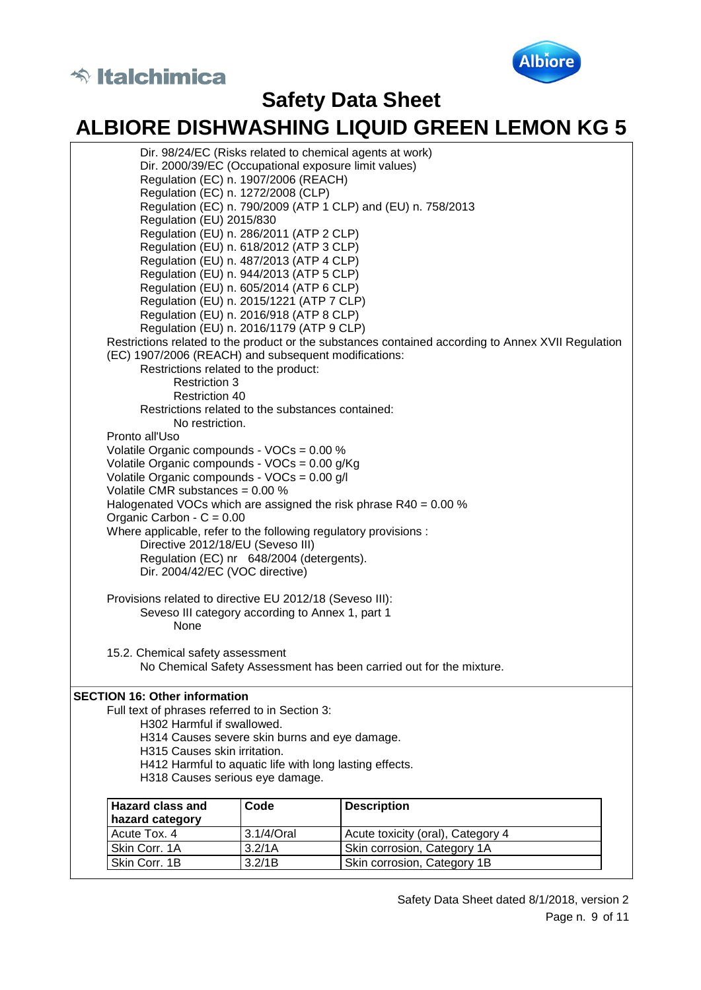



| Dir. 98/24/EC (Risks related to chemical agents at work)                   |            |                                                                                                    |
|----------------------------------------------------------------------------|------------|----------------------------------------------------------------------------------------------------|
| Dir. 2000/39/EC (Occupational exposure limit values)                       |            |                                                                                                    |
| Regulation (EC) n. 1907/2006 (REACH)                                       |            |                                                                                                    |
| Regulation (EC) n. 1272/2008 (CLP)                                         |            |                                                                                                    |
|                                                                            |            | Regulation (EC) n. 790/2009 (ATP 1 CLP) and (EU) n. 758/2013                                       |
| Regulation (EU) 2015/830                                                   |            |                                                                                                    |
| Regulation (EU) n. 286/2011 (ATP 2 CLP)                                    |            |                                                                                                    |
| Regulation (EU) n. 618/2012 (ATP 3 CLP)                                    |            |                                                                                                    |
| Regulation (EU) n. 487/2013 (ATP 4 CLP)                                    |            |                                                                                                    |
| Regulation (EU) n. 944/2013 (ATP 5 CLP)                                    |            |                                                                                                    |
| Regulation (EU) n. 605/2014 (ATP 6 CLP)                                    |            |                                                                                                    |
| Regulation (EU) n. 2015/1221 (ATP 7 CLP)                                   |            |                                                                                                    |
| Regulation (EU) n. 2016/918 (ATP 8 CLP)                                    |            |                                                                                                    |
| Regulation (EU) n. 2016/1179 (ATP 9 CLP)                                   |            |                                                                                                    |
|                                                                            |            | Restrictions related to the product or the substances contained according to Annex XVII Regulation |
| (EC) 1907/2006 (REACH) and subsequent modifications:                       |            |                                                                                                    |
| Restrictions related to the product:                                       |            |                                                                                                    |
| <b>Restriction 3</b>                                                       |            |                                                                                                    |
| <b>Restriction 40</b><br>Restrictions related to the substances contained: |            |                                                                                                    |
| No restriction.                                                            |            |                                                                                                    |
| Pronto all'Uso                                                             |            |                                                                                                    |
| Volatile Organic compounds - VOCs = 0.00 %                                 |            |                                                                                                    |
| Volatile Organic compounds - VOCs = 0.00 g/Kg                              |            |                                                                                                    |
| Volatile Organic compounds - VOCs = 0.00 g/l                               |            |                                                                                                    |
| Volatile CMR substances = 0.00 %                                           |            |                                                                                                    |
| Halogenated VOCs which are assigned the risk phrase R40 = $0.00\%$         |            |                                                                                                    |
| Organic Carbon - $C = 0.00$                                                |            |                                                                                                    |
| Where applicable, refer to the following regulatory provisions :           |            |                                                                                                    |
| Directive 2012/18/EU (Seveso III)                                          |            |                                                                                                    |
| Regulation (EC) nr 648/2004 (detergents).                                  |            |                                                                                                    |
| Dir. 2004/42/EC (VOC directive)                                            |            |                                                                                                    |
|                                                                            |            |                                                                                                    |
| Provisions related to directive EU 2012/18 (Seveso III):                   |            |                                                                                                    |
| Seveso III category according to Annex 1, part 1                           |            |                                                                                                    |
| None                                                                       |            |                                                                                                    |
|                                                                            |            |                                                                                                    |
| 15.2. Chemical safety assessment                                           |            |                                                                                                    |
|                                                                            |            | No Chemical Safety Assessment has been carried out for the mixture.                                |
|                                                                            |            |                                                                                                    |
| <b>SECTION 16: Other information</b>                                       |            |                                                                                                    |
| Full text of phrases referred to in Section 3:                             |            |                                                                                                    |
| H302 Harmful if swallowed.                                                 |            |                                                                                                    |
| H314 Causes severe skin burns and eye damage.                              |            |                                                                                                    |
| H315 Causes skin irritation.                                               |            |                                                                                                    |
| H412 Harmful to aquatic life with long lasting effects.                    |            |                                                                                                    |
| H318 Causes serious eye damage.                                            |            |                                                                                                    |
|                                                                            |            |                                                                                                    |
| <b>Hazard class and</b>                                                    | Code       | <b>Description</b>                                                                                 |
| hazard category                                                            |            |                                                                                                    |
| Acute Tox. 4                                                               | 3.1/4/Oral | Acute toxicity (oral), Category 4                                                                  |
| Skin Corr. 1A                                                              | 3.2/1A     | Skin corrosion, Category 1A                                                                        |
| Skin Corr. 1B                                                              | 3.2/1B     | Skin corrosion, Category 1B                                                                        |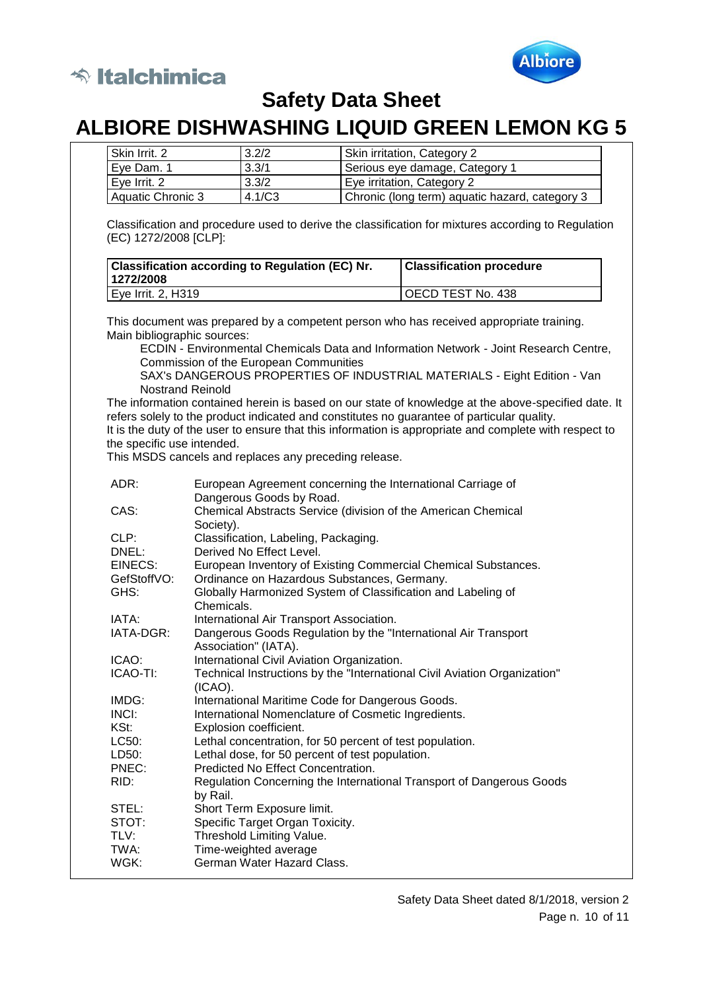



| Skin Irrit. 2               | 3.2/2                                                                     |                           | Skin irritation, Category 2                                                                            |  |
|-----------------------------|---------------------------------------------------------------------------|---------------------------|--------------------------------------------------------------------------------------------------------|--|
| Eye Dam. 1                  | 3.3/1                                                                     |                           | Serious eye damage, Category 1                                                                         |  |
| Eye Irrit. 2                | 3.3/2                                                                     |                           | Eye irritation, Category 2                                                                             |  |
| Aquatic Chronic 3           | 4.1/C3                                                                    |                           | Chronic (long term) aquatic hazard, category 3                                                         |  |
| (EC) 1272/2008 [CLP]:       |                                                                           |                           | Classification and procedure used to derive the classification for mixtures according to Regulation    |  |
| 1272/2008                   | <b>Classification according to Regulation (EC) Nr.</b>                    |                           | <b>Classification procedure</b>                                                                        |  |
| Eye Irrit. 2, H319          |                                                                           |                           | OECD TEST No. 438                                                                                      |  |
|                             |                                                                           |                           | This document was prepared by a competent person who has received appropriate training.                |  |
| Main bibliographic sources: |                                                                           |                           |                                                                                                        |  |
|                             |                                                                           |                           | ECDIN - Environmental Chemicals Data and Information Network - Joint Research Centre,                  |  |
|                             | Commission of the European Communities                                    |                           |                                                                                                        |  |
|                             |                                                                           |                           | SAX's DANGEROUS PROPERTIES OF INDUSTRIAL MATERIALS - Eight Edition - Van                               |  |
|                             | <b>Nostrand Reinold</b>                                                   |                           |                                                                                                        |  |
|                             |                                                                           |                           | The information contained herein is based on our state of knowledge at the above-specified date. It    |  |
|                             |                                                                           |                           | refers solely to the product indicated and constitutes no guarantee of particular quality.             |  |
|                             |                                                                           |                           | It is the duty of the user to ensure that this information is appropriate and complete with respect to |  |
| the specific use intended.  |                                                                           |                           |                                                                                                        |  |
|                             | This MSDS cancels and replaces any preceding release.                     |                           |                                                                                                        |  |
| ADR:                        |                                                                           |                           | European Agreement concerning the International Carriage of                                            |  |
|                             | Dangerous Goods by Road.                                                  |                           |                                                                                                        |  |
| CAS:                        |                                                                           |                           | Chemical Abstracts Service (division of the American Chemical                                          |  |
|                             | Society).                                                                 |                           |                                                                                                        |  |
| CLP:                        | Classification, Labeling, Packaging.                                      |                           |                                                                                                        |  |
| DNEL:                       | Derived No Effect Level.                                                  |                           |                                                                                                        |  |
| EINECS:                     |                                                                           |                           | European Inventory of Existing Commercial Chemical Substances.                                         |  |
| GefStoffVO:                 | Ordinance on Hazardous Substances, Germany.                               |                           |                                                                                                        |  |
| GHS:                        |                                                                           |                           | Globally Harmonized System of Classification and Labeling of                                           |  |
|                             | Chemicals.                                                                |                           |                                                                                                        |  |
| IATA:                       | International Air Transport Association.                                  |                           |                                                                                                        |  |
| IATA-DGR:                   |                                                                           |                           | Dangerous Goods Regulation by the "International Air Transport                                         |  |
|                             | Association" (IATA).                                                      |                           |                                                                                                        |  |
| ICAO:                       | International Civil Aviation Organization.                                |                           |                                                                                                        |  |
| ICAO-TI:                    | Technical Instructions by the "International Civil Aviation Organization" |                           |                                                                                                        |  |
|                             | (ICAO).                                                                   |                           |                                                                                                        |  |
| IMDG:                       | International Maritime Code for Dangerous Goods.                          |                           |                                                                                                        |  |
| INCI:                       | International Nomenclature of Cosmetic Ingredients.                       |                           |                                                                                                        |  |
| KSt:                        | Explosion coefficient.                                                    |                           |                                                                                                        |  |
| LC50:                       | Lethal concentration, for 50 percent of test population.                  |                           |                                                                                                        |  |
| LD50:                       | Lethal dose, for 50 percent of test population.                           |                           |                                                                                                        |  |
| PNEC:                       | Predicted No Effect Concentration.                                        |                           |                                                                                                        |  |
| RID:                        |                                                                           |                           | Regulation Concerning the International Transport of Dangerous Goods                                   |  |
|                             | by Rail.                                                                  |                           |                                                                                                        |  |
| STEL:                       | Short Term Exposure limit.                                                |                           |                                                                                                        |  |
| STOT:                       | Specific Target Organ Toxicity.                                           |                           |                                                                                                        |  |
| TLV:                        |                                                                           |                           |                                                                                                        |  |
| TWA:                        | Time-weighted average                                                     | Threshold Limiting Value. |                                                                                                        |  |
|                             |                                                                           |                           |                                                                                                        |  |
| WGK:                        | German Water Hazard Class.                                                |                           |                                                                                                        |  |